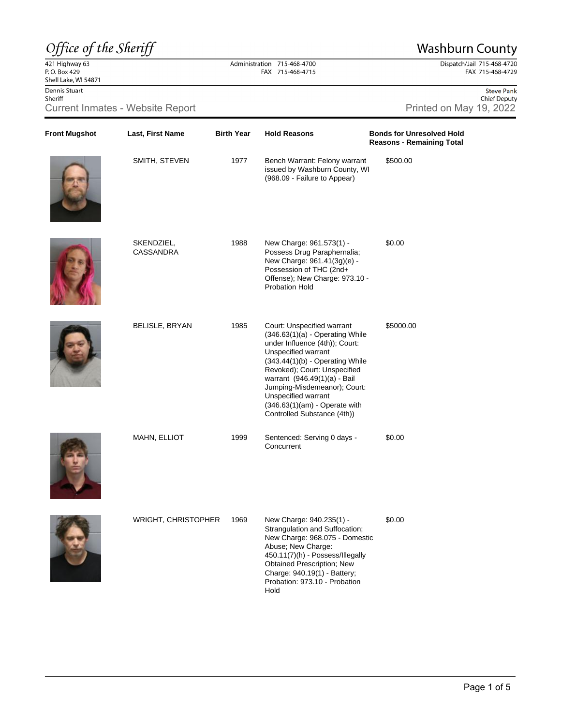## Office of the Sheriff

421 Highway 63<br>P.O. Box 429 Shell Lake, WI 54871 Dennis Stuart Sheriff Current Inmates - Website Report

Last, First Name

## **Washburn County**

Dispatch/Jail 715-468-4720<br>FAX 715-468-4729

## Administration 715-468-4700 FAX 715-468-4715

**Hold Reasons** 

**Birth Year** 

|                         |  | <b>Steve Pank</b>   |
|-------------------------|--|---------------------|
|                         |  | <b>Chief Deputy</b> |
| Printed on May 19, 2022 |  |                     |

**Bonds for Unresolved Hold Reasons - Remaining Total** 



**Front Mugshot** 



| SMITH, STEVEN           | 1977 | Bench Warrant: Felony warrant<br>issued by Washburn County, WI<br>(968.09 - Failure to Appear)                                                                                                                                                                                                                                                         | \$500.00  |
|-------------------------|------|--------------------------------------------------------------------------------------------------------------------------------------------------------------------------------------------------------------------------------------------------------------------------------------------------------------------------------------------------------|-----------|
| SKENDZIEL,<br>CASSANDRA | 1988 | New Charge: 961.573(1) -<br>Possess Drug Paraphernalia;<br>New Charge: 961.41(3g)(e) -<br>Possession of THC (2nd+<br>Offense); New Charge: 973.10 -<br><b>Probation Hold</b>                                                                                                                                                                           | \$0.00    |
| <b>BELISLE, BRYAN</b>   | 1985 | Court: Unspecified warrant<br>$(346.63(1)(a)$ - Operating While<br>under Influence (4th)); Court:<br>Unspecified warrant<br>$(343.44(1)(b)$ - Operating While<br>Revoked); Court: Unspecified<br>warrant (946.49(1)(a) - Bail<br>Jumping-Misdemeanor); Court:<br>Unspecified warrant<br>$(346.63(1)(am)$ - Operate with<br>Controlled Substance (4th)) | \$5000.00 |
| MAHN, ELLIOT            | 1999 | Sentenced: Serving 0 days -<br>Concurrent                                                                                                                                                                                                                                                                                                              | \$0.00    |





| <b>WRIGHT, CHRISTOPHER</b> | 1969 | New Charge: 940.235(1) -<br>Strangulation and Suffocation;<br>New Charge: 968.075 - Domestic<br>Abuse; New Charge:<br>450.11(7)(h) - Possess/Illegally<br><b>Obtained Prescription: New</b><br>Charge: 940.19(1) - Battery;<br>Probation: 973.10 - Probation | \$0.00 |
|----------------------------|------|--------------------------------------------------------------------------------------------------------------------------------------------------------------------------------------------------------------------------------------------------------------|--------|
|                            |      | Hold                                                                                                                                                                                                                                                         |        |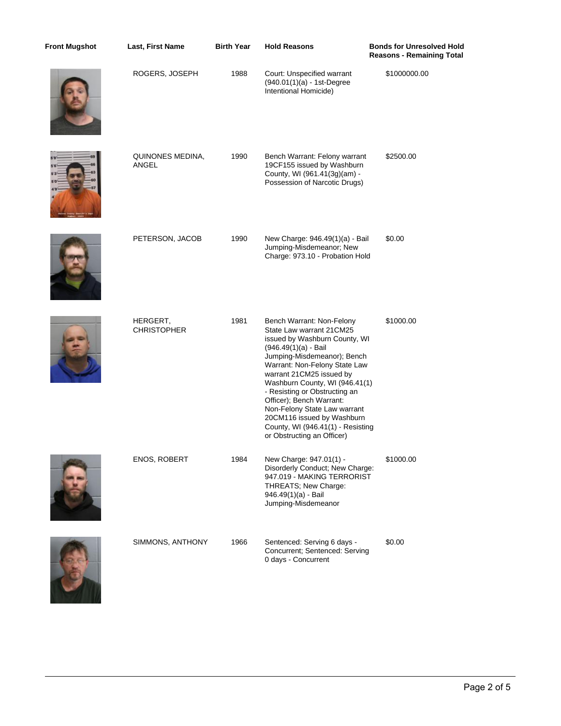| <b>Front Mugshot</b> | Last, First Name               | <b>Birth Year</b> | <b>Hold Reasons</b>                                                                                                                                                                                                                                                                                                                                                                                                                         | <b>Bonds for Unresolved Hold</b><br><b>Reasons - Remaining Total</b> |
|----------------------|--------------------------------|-------------------|---------------------------------------------------------------------------------------------------------------------------------------------------------------------------------------------------------------------------------------------------------------------------------------------------------------------------------------------------------------------------------------------------------------------------------------------|----------------------------------------------------------------------|
|                      | ROGERS, JOSEPH                 | 1988              | Court: Unspecified warrant<br>(940.01(1)(a) - 1st-Degree<br>Intentional Homicide)                                                                                                                                                                                                                                                                                                                                                           | \$1000000.00                                                         |
|                      | QUINONES MEDINA,<br>ANGEL      | 1990              | Bench Warrant: Felony warrant<br>19CF155 issued by Washburn<br>County, WI (961.41(3g)(am) -<br>Possession of Narcotic Drugs)                                                                                                                                                                                                                                                                                                                | \$2500.00                                                            |
|                      | PETERSON, JACOB                | 1990              | New Charge: 946.49(1)(a) - Bail<br>Jumping-Misdemeanor; New<br>Charge: 973.10 - Probation Hold                                                                                                                                                                                                                                                                                                                                              | \$0.00                                                               |
|                      | HERGERT,<br><b>CHRISTOPHER</b> | 1981              | Bench Warrant: Non-Felony<br>State Law warrant 21 CM25<br>issued by Washburn County, WI<br>(946.49(1)(a) - Bail<br>Jumping-Misdemeanor); Bench<br>Warrant: Non-Felony State Law<br>warrant 21CM25 issued by<br>Washburn County, WI (946.41(1)<br>- Resisting or Obstructing an<br>Officer); Bench Warrant:<br>Non-Felony State Law warrant<br>20CM116 issued by Washburn<br>County, WI (946.41(1) - Resisting<br>or Obstructing an Officer) | \$1000.00                                                            |
|                      | <b>ENOS, ROBERT</b>            | 1984              | New Charge: 947.01(1) -<br>Disorderly Conduct; New Charge:<br>947.019 - MAKING TERRORIST<br>THREATS; New Charge:<br>946.49(1)(a) - Bail<br>Jumping-Misdemeanor                                                                                                                                                                                                                                                                              | \$1000.00                                                            |
|                      | SIMMONS, ANTHONY               | 1966              | Sentenced: Serving 6 days -<br>Concurrent; Sentenced: Serving<br>0 days - Concurrent                                                                                                                                                                                                                                                                                                                                                        | \$0.00                                                               |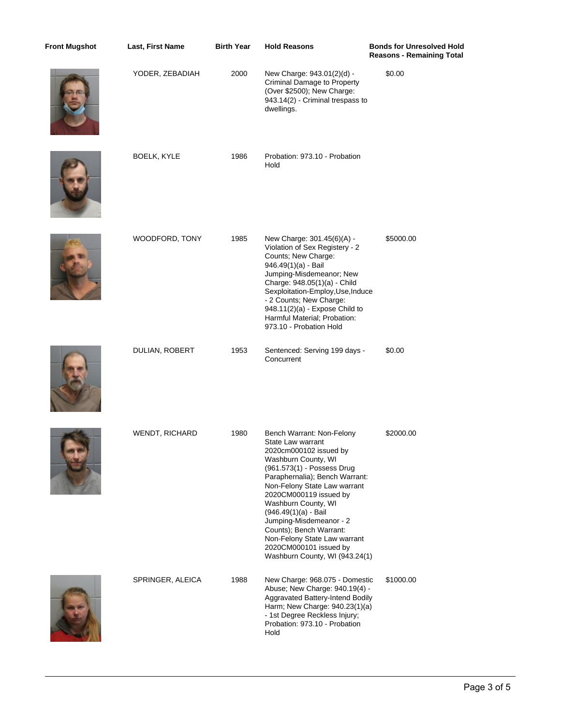| <b>Front Mugshot</b> | Last, First Name      | <b>Birth Year</b> | <b>Hold Reasons</b>                                                                                                                                                                                                                                                                                                                                                                                                        | <b>Bonds for Unresolved Hold</b><br><b>Reasons - Remaining Total</b> |
|----------------------|-----------------------|-------------------|----------------------------------------------------------------------------------------------------------------------------------------------------------------------------------------------------------------------------------------------------------------------------------------------------------------------------------------------------------------------------------------------------------------------------|----------------------------------------------------------------------|
|                      | YODER, ZEBADIAH       | 2000              | New Charge: 943.01(2)(d) -<br>Criminal Damage to Property<br>(Over \$2500); New Charge:<br>943.14(2) - Criminal trespass to<br>dwellings.                                                                                                                                                                                                                                                                                  | \$0.00                                                               |
|                      | BOELK, KYLE           | 1986              | Probation: 973.10 - Probation<br>Hold                                                                                                                                                                                                                                                                                                                                                                                      |                                                                      |
|                      | WOODFORD, TONY        | 1985              | New Charge: 301.45(6)(A) -<br>Violation of Sex Registery - 2<br>Counts; New Charge:<br>946.49(1)(a) - Bail<br>Jumping-Misdemeanor; New<br>Charge: 948.05(1)(a) - Child<br>Sexploitation-Employ, Use, Induce<br>- 2 Counts; New Charge:<br>948.11(2)(a) - Expose Child to<br>Harmful Material; Probation:<br>973.10 - Probation Hold                                                                                        | \$5000.00                                                            |
|                      | DULIAN, ROBERT        | 1953              | Sentenced: Serving 199 days -<br>Concurrent                                                                                                                                                                                                                                                                                                                                                                                | \$0.00                                                               |
|                      | <b>WENDT, RICHARD</b> | 1980              | Bench Warrant: Non-Felony<br>State Law warrant<br>2020cm000102 issued by<br>Washburn County, WI<br>(961.573(1) - Possess Drug<br>Paraphernalia); Bench Warrant:<br>Non-Felony State Law warrant<br>2020CM000119 issued by<br>Washburn County, WI<br>(946.49(1)(a) - Bail<br>Jumping-Misdemeanor - 2<br>Counts); Bench Warrant:<br>Non-Felony State Law warrant<br>2020CM000101 issued by<br>Washburn County, WI (943.24(1) | \$2000.00                                                            |
|                      | SPRINGER, ALEICA      | 1988              | New Charge: 968.075 - Domestic<br>Abuse; New Charge: 940.19(4) -<br>Aggravated Battery-Intend Bodily<br>Harm; New Charge: 940.23(1)(a)<br>- 1st Degree Reckless Injury;<br>Probation: 973.10 - Probation<br>Hold                                                                                                                                                                                                           | \$1000.00                                                            |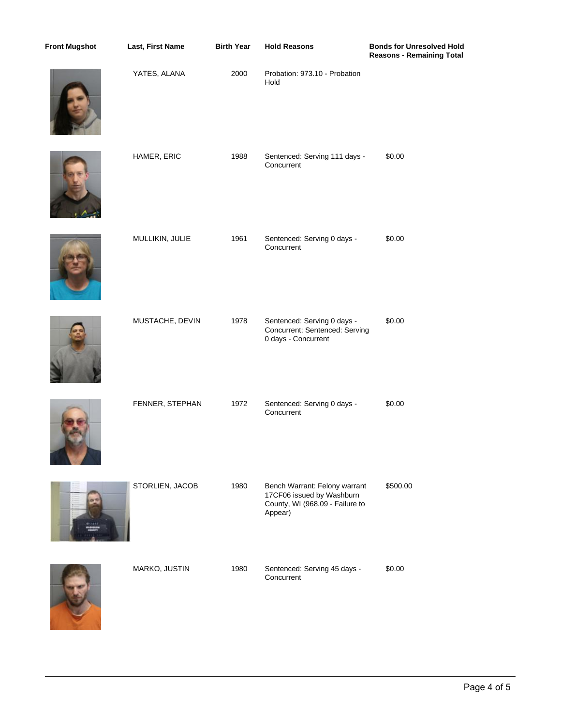| <b>Front Mugshot</b> | Last, First Name | <b>Birth Year</b> | <b>Hold Reasons</b>                                                                                      | <b>Bonds for Unresolved Hold</b><br><b>Reasons - Remaining Total</b> |
|----------------------|------------------|-------------------|----------------------------------------------------------------------------------------------------------|----------------------------------------------------------------------|
|                      | YATES, ALANA     | 2000              | Probation: 973.10 - Probation<br>Hold                                                                    |                                                                      |
|                      | HAMER, ERIC      | 1988              | Sentenced: Serving 111 days -<br>Concurrent                                                              | \$0.00                                                               |
|                      | MULLIKIN, JULIE  | 1961              | Sentenced: Serving 0 days -<br>Concurrent                                                                | \$0.00                                                               |
|                      | MUSTACHE, DEVIN  | 1978              | Sentenced: Serving 0 days -<br>Concurrent; Sentenced: Serving<br>0 days - Concurrent                     | \$0.00                                                               |
|                      | FENNER, STEPHAN  | 1972              | Sentenced: Serving 0 days -<br>Concurrent                                                                | \$0.00                                                               |
|                      | STORLIEN, JACOB  | 1980              | Bench Warrant: Felony warrant<br>17CF06 issued by Washburn<br>County, WI (968.09 - Failure to<br>Appear) | \$500.00                                                             |
|                      | MARKO, JUSTIN    | 1980              | Sentenced: Serving 45 days -<br>Concurrent                                                               | \$0.00                                                               |